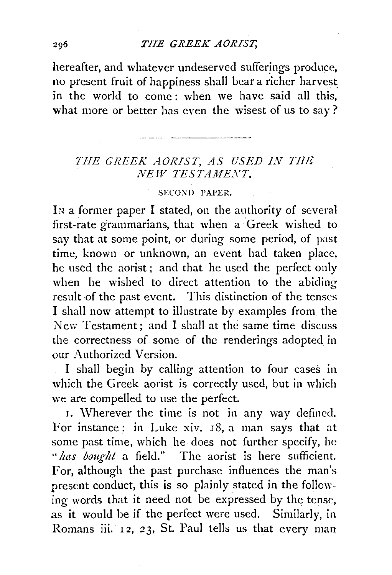## *TIIE GREEK AORIST,*

hereafter, and whatever undeserved sufferings produce, no present fruit of happiness shall bear a richer harvest in the world to come: when we have said all this, what more or better has even the wisest of us to say?

## *THE GREEK AORIST, AS USED IN TilE*  NE W TESTAMENT.

·-- --···· -----

## SECOND PAPER.

IN a former paper I stated, on the authority of several first-rate grammarians, that when a Greek wished to say that at some point, or during some period, of past time, known or unknown, an event had taken place, he used the aorist ; and that he used the perfect only when he wished to direct attention to the abiding result of the past event. This distinction of the tenses I shall now attempt to illustrate by examples from the New Testament; and I shall at the same time discuss the correctness of some of the renderings adopted in our Authorized Version.

I shall begin by calling attention to four cases in which the Greek aorist is correctly used, but in which we are compelled to use the perfect.

1. Wherever the time is not in any way defined. For instance: in Luke xiv. 18, a man says that at some past time, which he does not further specify, he *"has bought* a field." The aorist is here sufficient. For, although the past purchase influences the man's present conduct, this is so plainly stated in the following words that it need not be expressed by the tense, as it would be if the perfect were used. Similarly, in Romans iii. 12, *23,* St. Paul tells us that every man

296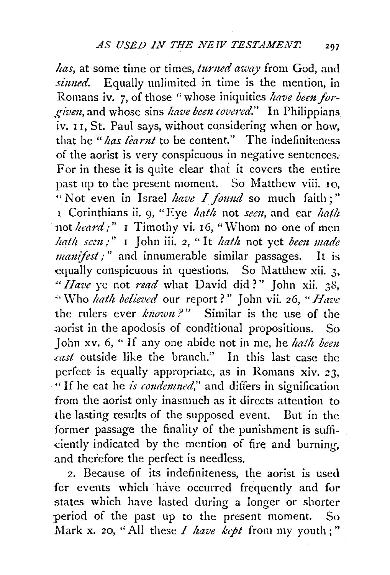*has,* at some time or times, *turned away* from God, antl *.simud.* Equally unlimited in time is the mention, in Romans iv. 7, of those "whose iniquities *have bem forgivm,* and whose sins *have bcm covered."* In Philippians iv. 11, St. Paul says, without considering when or how, that he "*has learnt* to be content." The indefiniteness of the aorist is very conspicuous in negative sentences. For in these it is quite clear that it covers the entire past up to the present moment. So Matthew viii. 10, "Not even in Israel *have I found* so much faith;" 1 Corinthians ii. 9, "Eye *hath* not *sem,* and ear *hath*  not *heard*;" I Timothy vi. 16, "Whom no one of men *hath scm;"* I John iii. 2, "It *hath* not yet *bem made manifest*;" and innumerable similar passages. It is equally conspicuous in questions. So Matthew xii. 3, *''Have* ye not *read* what David did?" John xii. 3S, .. \Vho *hath belie·vcd* our report?" John vii. 26, *"I/aue*  the rulers ever *known*?" Similar is the use of the aorist in the apodosis of conditional propositions. So John xv. 6, "If any one abide not in me, he *hath been .cast* outside like the branch." In this last case the perfect is equally appropriate, as in Romans xiv. 23, <sup>44</sup> If he eat he *is condemned*," and differs in signification from the aorist only inasmuch as it directs attention to the lasting results of the supposed event. But in the former passage the finality of the punishment is sufficiently indicated by the mention of fire and burning, and therefore the perfect is needless.

2. Because of its indefiniteness, the aorist is used for events which have occurred frequently and for states which have lasted during a longer or shorter period of the past up to the present moment. So Mark x. 20, "All these *I have kept* from my youth;"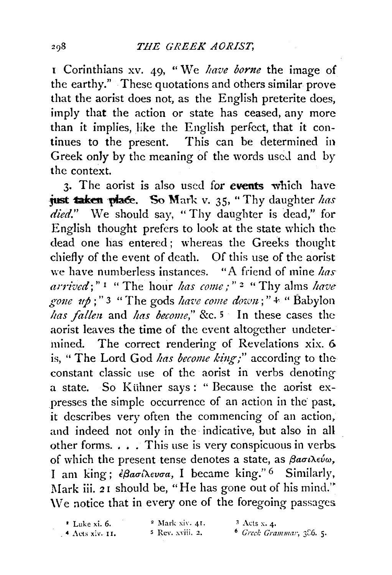I Corinthians xv. 49, "We *have borne* the image of the earthy." ·These quotations and others similar prove that the aorist does not, as the English preterite does, imply that the action or state has ceased, any more than it implies, like the English perfect, that it continues to the present. This can be determined in Greek only by the meaning of the words used and by the context.

3. The aorist is also used for events which have just taken place. So Mark v. 35, "Thy daughter has *died.*" We should say, " Thy daughter is dead," for English thought prefers to look at the state which the dead one has entered; whereas the Greeks thought chiefly of the event of death. Of this use of the aorist we have numberless instances. "A friend of mine *has arrived*;"<sup>1</sup> " The hour *has come*;"<sup>2</sup> " Thy alms *have* gone up;" 3 "The gods *have come down*;" + " Babylon *has fallen* and *has become*," &c. 5 In these cases the aorist leaves the time of the event altogether undetermined. The correct rendering of Revelations xix. 6 is, "The Lord God has become king;" according to theconstant classic use of the aorist in verbs denoting a state. So Kuhner says: " Because the aorist expresses the simple occurrence of an action in the past. it describes very often the commencing of an action, and indeed not only in the indicative, but also in all other forms. . • . This use is very conspicuous in verbs. of which the present tense denotes a state, as *βασιλεύω*, I am king; *εβασίλευσα*, I became king."<sup>6</sup> Similarly, Mark iii. 21 should be, "He has gone out of his mind." We notice that in every one of the foregoing passages

| <sup>*</sup> Luke xi. 6. | $2$ Mark xiv. 41.           | <sup>3</sup> Acts x. 4.             |
|--------------------------|-----------------------------|-------------------------------------|
| $4$ Acts xiv. $II.$      | <sup>5</sup> Rev. xviii. 2. | <sup>6</sup> Greck Grammar, 306. 5. |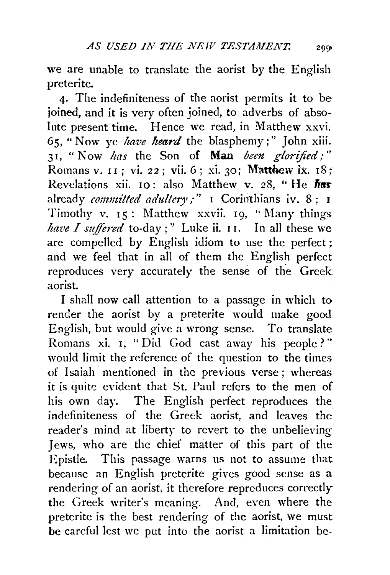we are unable to translate the aorist by the English preterite.

4· The indefiniteness of the aorist permits it to be joined, and it is very often joined, to adverbs of absolute present time. Hence we read, in Matthew xxvi. 65, "Now ye *have heard* the blasphemy;" John xiii. 31, "Now *has* the Son of Man *been glorified*;" Romans v. 11; vi. 22; vii. 6; xi. 30; Matthew ix. 18; Revelations xii. 10: also Matthew v. 28, "He has already *committed adultery;"* I Coririthians iv. 8 ; 1 Timothy v.  $15$ : Matthew xxvii.  $19$ , "Many things *have I suffered* to-day;" Luke ii. 11. In all these we are compelled by English idiom to use the perfect ; and we feel that in all of them the English perfect reproduces very accurately the sense of the Greek aorist.

I shall now call attention to a passage in which to render the aorist by a preterite would make good English, but would give a wrong sense. To translate Romans xi. 1, "Did God cast away his people?" would limit the reference of the question to the times of Isaiah mentioned in the previous verse; whereas it is quite evident that St. Paul refers to the men of his own day. The English perfect reproduces the indefiniteness of the Greek aorist, and leaves the reader's mind at liberty to revert to the unbelieving Jews, who are the chief matter of this part of the Epistle. This passage warns us not to assume that because an English preterite gives good sense as a rendering of an aorist, it therefore reproduces correctly the Greek writer's meaning. And, even where the preterite is the best rendering of the aorist, we must be careful lest we put into the aorist a limitation be-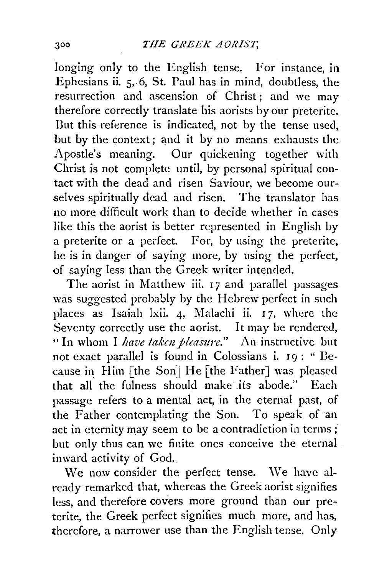longing only to the English tense. For instance, in Ephesians ii. 5,· 6, St. Paul has in mind, doubtless, the resurrection and ascension of Christ ; and we may therefore correctly translate his aorists by our preterite. But this reference is indicated, not by the tense used, but by the context; and it by no means exhausts the Apostle's meaning. Our quickening together with Christ is not complete until, by personal spiritual contact with the dead and risen Saviour, we become ourselves spiritually dead and risen. The translator has no more difficult work than to decide whether in cases like this the aorist is better represented in English by a preterite or a perfect. For, by using the preterite, he is in danger of saying more, by using the perfect, of saying less than the Greek writer intended.

The aorist in Matthew iii. 17 and parallel passages was suggested probably by the Hebrew perfect in such places as Isaiah lxii. 4, Malachi ii. 17, where the Seventy correctly use the aorist. It may be rendered, "In whom I *have taken pleasure.*" An instructive but not exact parallel is found in Colossians i. 19: "Because in Him [the Son] He [the Father] was pleased that all the fulness should make its abode." Each passage refers to a mental act, in the eternal past, of the Father contemplating the Son. To speak of an act in eternity may seem to be a contradiction in terms ; but only thus can we finite ones conceive the eternal inward activity of God.

We now consider the perfect tense. We have already remarked that, whereas the Greek aorist signifies less, and therefore covers more ground than our preterite, the Greek perfect signifies much more, and has, therefore, a narrower use than the English tense. Only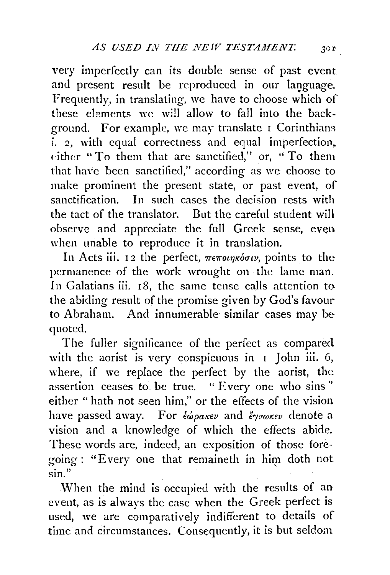very imperfectly can its double sense of past event and present result be reproduced in our language. Frequently, in translating, we have to choose which of these elements we will allow to fall into the background. For example, we may translate I Corinthians i. 2, with equal correctness and equal imperfection. ( ither "To them that arc sanctified," or, "To them that have been sanctified," according as we choose to make prominent the present state, or past event, of sanctification. In such cases the decision rests with the tact of the translator. But the careful student will observe and appreciate the full Greek sense, even. when unable to reproduce it in translation.

In Acts iii. 12 the perfect,  $\pi \epsilon \pi o \eta \kappa o \sigma \nu$ , points to the permanence of the work wrought on the lame man. In Galatians iii. 18, the same tense calls attention to the abiding result of the promise given by God's favour to Abraham. And innumerable similar cases may be quoted.

The fuller significance of the perfect as compared with the aorist is very conspicuous in  $I$  John iii. 6, where, if we replace the perfect by the aorist, the assertion ceases to. be true. " Every one who sins" either " hath not seen him," or the effects of the vision. have passed away. For *εώρακεν* and έγνωκεν denote a. vision and a knowledge of which the effects abide. These words are, indeed, an exposition of those foregoing: "Every one that remaineth in him doth not sin"

When the mind is occupied with the results of an event, as is ahvays the case when the Greek perfect is used, we are comparatively indifferent to details of time and circumstances. Consequently, it is but seldom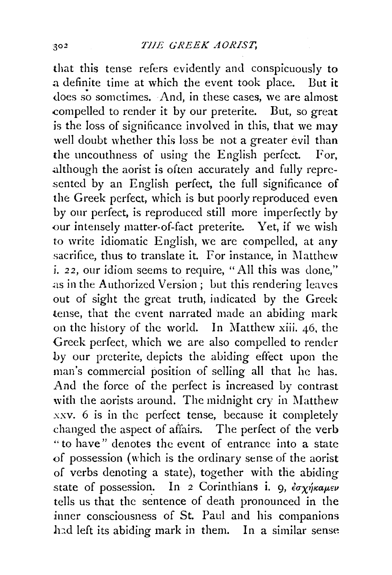that this tense refers evidently and conspicuously to a definite time at which the event took place. But it does so sometimes. And, in these cases, we are almost compelled to render it by our preterite. But, so great is the loss of significance involved in this, that we may well doubt whether this loss be not a greater evil than the uncouthness of using the English perfect. For, although the aorist is often accurately and fully represented by an English perfect, the full significance of the Greek perfect, which is but poorly reproduced even by our perfect, is reproduced still more imperfectly by our intensely matter-of-fact preterite. Yet, if we wish to write idiomatic English, we are compelled, at any sacrifice, thus to translate it. For instance, in Matthew i. 22, our idiom seems to require, "All this was done," as in the Authorized Version; but this rendering leaves out of sight the great truth, indicated by the Greek tense, that the event narrated made an abiding mark on the history of the world. In Matthew xiii. 46. the Greek perfect, which we are also compelled to render by our preterite, depicts the abiding effect upon the man's commercial position of selling all that he has. And the force of the perfect is increased by contrast with the aorists around. The midnight cry in Matthew xxv. 6 is in the perfect tense, because it completely changed the aspect of affairs. The perfect of the verb " to have" denotes the event of entrance into a state of possession (which is the ordinary sense of the aorist of verbs denoting a state), together with the abiding state of possession. In 2 Corinthians i.  $\theta$ ,  $\epsilon \sigma \gamma \dot{\eta} \kappa a \mu \epsilon \nu$ tells us that the sentence of death pronounced in the inner consciousness of St. Paul and his companions had left its abiding mark in them. In a similar sense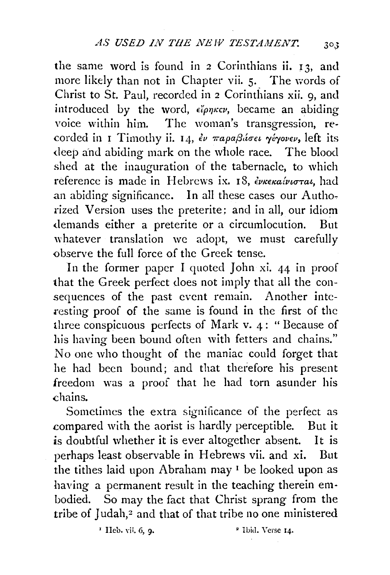the same word is found in  $2$  Corinthians ii. 13, and more likely than not in Chapter vii. 5. The words of Christ to St. Paul, recorded in 2 Corinthians xii, 9, and introduced by the word,  $\epsilon \check{\iota} \rho \eta \kappa \epsilon \nu$ , became an abiding voice within him. The woman's transgression, recorded in *I* Timothy ii. 14, *έν παραβάσει γέγονεν*, left its deep and abiding mark on the whole race. The blood shed at the inauguration of the tabernacle, to which reference is made in Hebrews ix. 18,  $\epsilon_{\text{Wekka}}/\nu_{\text{U}}$  had an abiding significance. In all these cases our Authorized Version uses the preterite: and in all, our idiom demands either a preterite or a circumlocution. But whatever translation we adopt, we must carefully observe the full force of the Greek tense.

In the former paper I quoted John xi. 44 in proof that the Greek perfect does not imply that all the consequences of the past event remain. Another inte resting proof of the same is found in the first of the three conspicuous perfects of Mark v. 4 : " Because of his having been bound often with fetters and chains." No one who thought of the maniac could forget that he had been bound; and that therefore his present freedom was a proof that he had torn asunder his chains.

Sometimes the extra significance of the perfect as compared with the aorist is hardly perceptible. But it is doubtful whether it is ever altogether absent. It is perhaps least observable in Hebrews vii. and xi. But the tithes laid upon Abraham may 1 be looked upon as having a permanent result in the teaching therein embodied. So may the fact that Christ sprang from the tribe of Judah,<sup>2</sup> and that of that tribe no one ministered

<sup> $I$ </sup> Ileb. vii, 6, 9.  $2 \tI \tI \tI$ .  $2 \tI \tI \tI$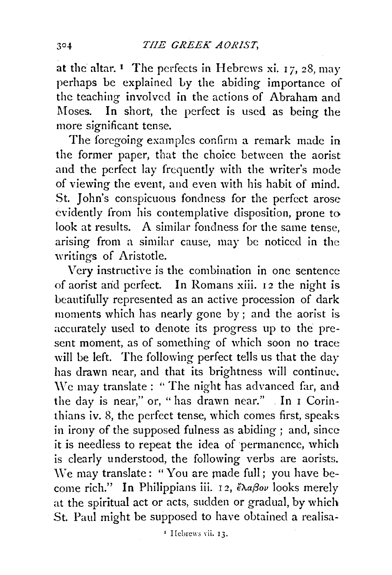at the altar. 1 The perfects in Hebrews xi. I *7,* 28, may perhaps be explained Ly the abiding importance of the teaching involved in the actions of Abraham and Moses. In short, the perfect is used as being the more significant tense.

The foregoing examples confirm a remark made in the former paper, that the choice between the aorist and the perfect lay frequently with the writer's mode of viewing the event, and even with his habit of mind. St. John's conspicuous fondness for the perfect arose evidently from his contemplative disposition, prone to look at results. A similar fondness for the same tense. arising from a similar cause, may be noticed in the writings of Aristotle.

Very instructive is the combination in one sentence of aorist and perfect. In Romans xiii. 12 the night is beautifully represented as an active procession of dark moments which has nearly gone by; and the aorist is accurately used to denote its progress up to the present moment, as of something of which soon no trace will be left. The following perfect tells us that the day has drawn near, and that its brightness will continue. \V *e* may translate : "The night has advanced far, and the day is near," or, "has drawn near." . In  $\bar{1}$  Corinthians iv. 8, the perfect tense, which comes first, speaks in irony of the supposed fulness as abiding ; and, since it is needless to repeat the idea of permanence, which is clearly understood, the following verbs are aorists. We may translate: "You are made full; you have become rich." In Philippians iii. I 2, *€Xaf3ov* looks merely at the spiritual act or acts, sudden or gradual, by which St. Paul might be supposed to have obtained a realisa-

' Hebrews Yii. 13.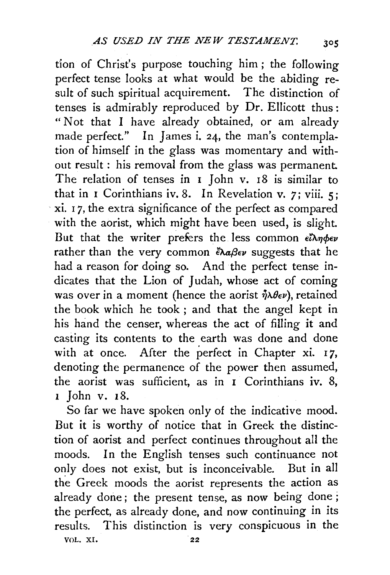tion of Christ's purpose touching him ; the following perfect tense looks at what would be the abiding result of such spiritual acquirement. The distinction of tenses is admirably reproduced by Dr. Ellicott thus: " Not that I have already obtained, or am already made perfect." In James i. 24, the man's contemplation of himself in the glass was momentary and without result : his removal from the glass was permanent. The relation of tenses in  $I$  John v.  $I8$  is similar to that in I Corinthians iv. 8. In Revelation v. 7; viii. 5; xi. I 7, the extra significance of the perfect as compared with the aorist, which might have been used, is slight. But that the writer prefers the less common  $\epsilon \lambda \eta \phi \epsilon \nu$ rather than the very common  $\partial \alpha \beta \epsilon \nu$  suggests that he had a reason for doing so. And the perfect tense indicates that the Lion of Judah, whose act of coming was over in a moment (hence the aorist  $\hat{\eta} \lambda \theta_{\epsilon} \nu$ ), retained the book which he took ; and that the angel kept in his hand the censer, whereas the act of filling it and casting its contents to the earth was done and done with at once. After the perfect in Chapter xi. 17, denoting the permanence of the power then assumed, the aorist was sufficient, as in I Corinthians iv. 8, <sup>1</sup>John v. I8.

So far we have spoken only of the indicative mood. But it is worthy of notice that in Greek the distinction of aorist and perfect continues throughout all the moods. In the English tenses such continuance not only does not exist, but is inconceivable. But in all the Greek moods the aorist represents the action as already done; the present tense, as now being done; the perfect, as already done, and now continuing in its results. This distinction is very conspicuous in the VOL. XI. 22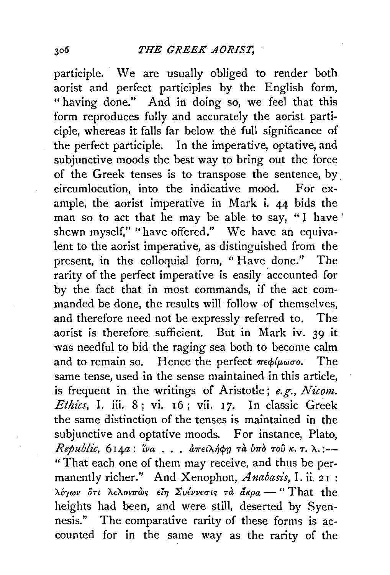participle. We are usually obliged to render both aorist and perfect participles by the English form, " having done." And in doing so, we feel that this form reproduces fully and accurately the aorist participle, whereas it falls far below the full significance of the perfect participle. In the imperative, optative, and subjunctive moods the best way to bring out the force of the Greek tenses is to transpose the sentence, by. circumlocution, into the indicative mood. For example, the aorist imperative in Mark i. 44 bids the man so to act that he may be able to say, "I have' shewn myself," "have offered." We have an equivalent to the aorist imperative, as distinguished from the present, in the colloquial form, "Have done." The rarity of the perfect imperative is easily accounted for by the fact that in most commands, if the act commanded be done, the results will follow of themselves, and therefore need not be expressly referred to. The aorist is therefore sufficient. But in Mark iv. 39 it was needful to bid the raging sea both to become calm and to remain so. Hence the perfect  $\pi \epsilon \phi / \mu \omega \sigma$ . The same tense, used in the sense maintained in this article, is frequent in the writings of Aristotle; *e.g., Nicom. Ethics*, I. iii. 8; vi. 16; vii. 17. In classic Greek the same distinction of the tenses is maintained in the subjunctive and optative moods. For instance, Plato, *Republic*, 614a: *ίνα... άπειλήφη τὰ υπο του κ. τ.λ.*:-"That each one of them may receive, and thus be permanently richer." And Xenophon, *Anabasis,* I. ii. 21 : λέγων ότι λελοιπώς είη Συέννεσις τα άκρα - " That the heights had been, and were still, deserted by Syennesis." The comparative rarity of these forms is accounted for in the same way as the rarity of the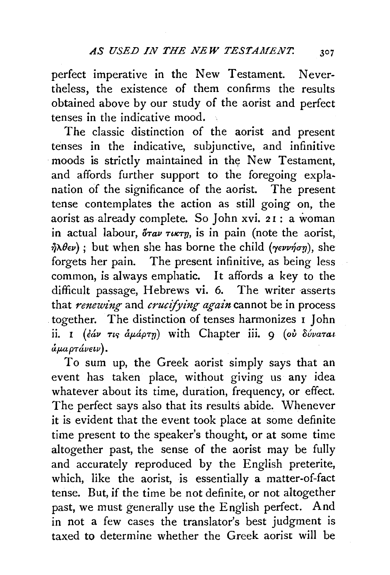perfect imperative in the New Testament. Nevertheless, the existence of them confirms the results obtained above by our study of the aorist and perfect tenses in the indicative mood.

The classic distinction of the aorist and present tenses in the indicative, subjunctive, and infinitive moods is strictly maintained in the New Testament, and affords further support to the foregoing explanation of the significance of the aorist. The present tense contemplates the action as still going on, the aorist as already complete. So John xvi. 21 : a woman in actual labour,  $\delta \tau a\nu \tau \nu \tau \eta$ , is in pain (note the aorist,  $\partial_l \lambda \theta \epsilon \nu$ ); but when she has borne the child *(γεννήση)*, she forgets her pain. The present infinitive, as being less common, is always emphatic. It affords a key to the difficult passage, Hebrews vi. 6. The writer asserts that *renewing* and *crucifying again* cannot be in process together. The distinction of tenses harmonizes I John ii. I (*dáv τις αμάρτη*) with Chapter iii. 9 *(ου δύναται* άμαρτάνειν).

To sum up, the Greek aorist simply says that an event has taken place, without giving us any idea whatever about its time, duration, frequency, or effect. The perfect says also that its results abide. Whenever it is evident that the event took place at some definite time present to the speaker's thought, or at some time altogether past, the sense of the aorist may be fully and accurately reproduced by the English preterite, which, like the aorist, is essentially a matter-of-fact tense. But, if the time be not definite, or not altogether past, we must generally use the English perfect. And in not a few cases the translator's best judgment is taxed to determine whether the Greek aorist will be